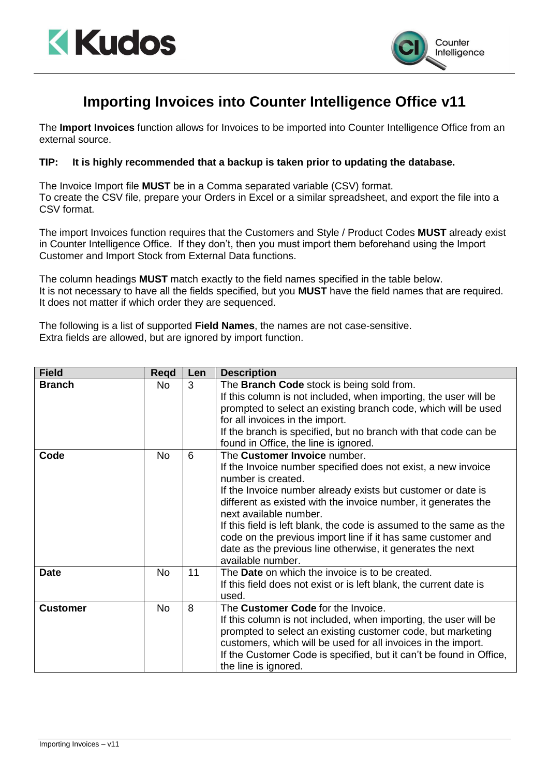



## **Importing Invoices into Counter Intelligence Office v11**

The **Import Invoices** function allows for Invoices to be imported into Counter Intelligence Office from an external source.

## **TIP: It is highly recommended that a backup is taken prior to updating the database.**

The Invoice Import file **MUST** be in a Comma separated variable (CSV) format. To create the CSV file, prepare your Orders in Excel or a similar spreadsheet, and export the file into a CSV format.

The import Invoices function requires that the Customers and Style / Product Codes **MUST** already exist in Counter Intelligence Office. If they don't, then you must import them beforehand using the Import Customer and Import Stock from External Data functions.

The column headings **MUST** match exactly to the field names specified in the table below. It is not necessary to have all the fields specified, but you **MUST** have the field names that are required. It does not matter if which order they are sequenced.

The following is a list of supported **Field Names**, the names are not case-sensitive. Extra fields are allowed, but are ignored by import function.

| <b>Field</b>  | <b>Regd</b> | Len | <b>Description</b>                                                                                                                                                                                                                                                                                                                                                                                                                                                                                        |
|---------------|-------------|-----|-----------------------------------------------------------------------------------------------------------------------------------------------------------------------------------------------------------------------------------------------------------------------------------------------------------------------------------------------------------------------------------------------------------------------------------------------------------------------------------------------------------|
| <b>Branch</b> | No          | 3   | The <b>Branch Code</b> stock is being sold from.<br>If this column is not included, when importing, the user will be<br>prompted to select an existing branch code, which will be used<br>for all invoices in the import.<br>If the branch is specified, but no branch with that code can be<br>found in Office, the line is ignored.                                                                                                                                                                     |
| Code          | <b>No</b>   | 6   | The Customer Invoice number.<br>If the Invoice number specified does not exist, a new invoice<br>number is created.<br>If the Invoice number already exists but customer or date is<br>different as existed with the invoice number, it generates the<br>next available number.<br>If this field is left blank, the code is assumed to the same as the<br>code on the previous import line if it has same customer and<br>date as the previous line otherwise, it generates the next<br>available number. |
| <b>Date</b>   | <b>No</b>   | 11  | The <b>Date</b> on which the invoice is to be created.<br>If this field does not exist or is left blank, the current date is<br>used.                                                                                                                                                                                                                                                                                                                                                                     |
| Customer      | <b>No</b>   | 8   | The Customer Code for the Invoice.<br>If this column is not included, when importing, the user will be<br>prompted to select an existing customer code, but marketing<br>customers, which will be used for all invoices in the import.<br>If the Customer Code is specified, but it can't be found in Office,<br>the line is ignored.                                                                                                                                                                     |